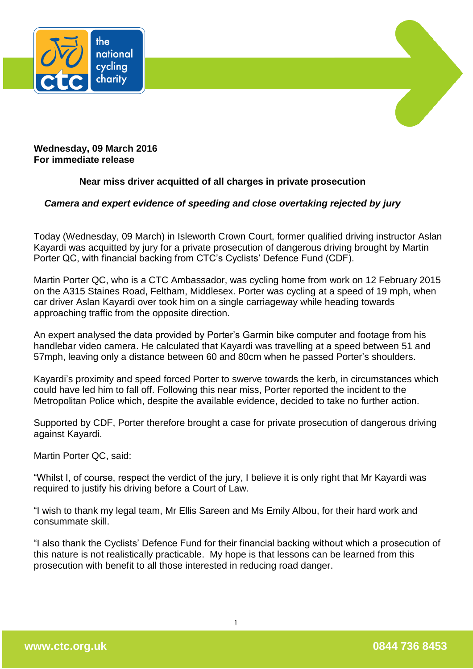



**Wednesday, 09 March 2016 For immediate release**

## **Near miss driver acquitted of all charges in private prosecution**

## *Camera and expert evidence of speeding and close overtaking rejected by jury*

Today (Wednesday, 09 March) in Isleworth Crown Court, former qualified driving instructor Aslan Kayardi was acquitted by jury for a private prosecution of dangerous driving brought by Martin Porter QC, with financial backing from CTC's Cyclists' Defence Fund (CDF).

Martin Porter QC, who is a CTC Ambassador, was cycling home from work on 12 February 2015 on the A315 Staines Road, Feltham, Middlesex. Porter was cycling at a speed of 19 mph, when car driver Aslan Kayardi over took him on a single carriageway while heading towards approaching traffic from the opposite direction.

An expert analysed the data provided by Porter's Garmin bike computer and footage from his handlebar video camera. He calculated that Kayardi was travelling at a speed between 51 and 57mph, leaving only a distance between 60 and 80cm when he passed Porter's shoulders.

Kayardi's proximity and speed forced Porter to swerve towards the kerb, in circumstances which could have led him to fall off. Following this near miss, Porter reported the incident to the Metropolitan Police which, despite the available evidence, decided to take no further action.

Supported by CDF, Porter therefore brought a case for private prosecution of dangerous driving against Kayardi.

Martin Porter QC, said:

"Whilst I, of course, respect the verdict of the jury, I believe it is only right that Mr Kayardi was required to justify his driving before a Court of Law.

"I wish to thank my legal team, Mr Ellis Sareen and Ms Emily Albou, for their hard work and consummate skill.

"I also thank the Cyclists' Defence Fund for their financial backing without which a prosecution of this nature is not realistically practicable. My hope is that lessons can be learned from this prosecution with benefit to all those interested in reducing road danger.